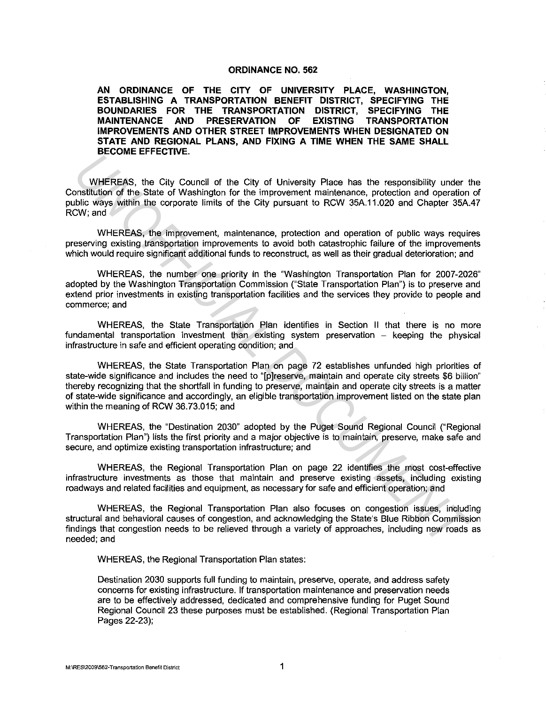### **ORDINANCE NO. 562**

**AN ORDINANCE OF THE CITY OF UNIVERSITY PLACE, WASHINGTON, ESTABLISHING A TRANSPORTATION BENEFIT DISTRICT, SPECIFYING THE BOUNDARIES FOR THE TRANSPORTATION DISTRICT, SPECIFYING THE MAINTENANCE AND PRESERVATION OF EXISTING TRANSPORTATION IMPROVEMENTS AND OTHER STREET IMPROVEMENTS WHEN DESIGNATED ON STATE AND REGIONAL PLANS, AND FIXING A TIME WHEN THE SAME SHALL BECOME EFFECTIVE.** 

WHEREAS, the City Council of the City of University Place has the responsibility under the Constitution of the State of Washington for the improvement maintenance, protection and operation of public ways within the corporate limits of the City pursuant to RCW 35A.11.020 and Chapter 35A.47 RCW; and

WHEREAS, the improvement, maintenance, protection and operation of public ways requires preserving existing transportation improvements to avoid both catastrophic failure of the improvements which would require significant additional funds to reconstruct, as well as their gradual deterioration; and

WHEREAS, the number one priority in the "Washington Transportation Plan for 2007-2026" adopted by the Washington Transportation Commission ("State Transportation Plan") is to preserve and extend prior investments in existing transportation facilities and the services they provide to people and commerce; and

WHEREAS, the State Transportation Plan identifies in Section II that there is no more fundamental transportation investment than existing system preservation - keeping the physical infrastructure in safe and efficient operating condition; and

WHEREAS, the State Transportation Plan on page 72 establishes unfunded high priorities of state-wide significance and includes the need to "[p]reserve, maintain and operate city streets \$6 billion" thereby recognizing that the shortfall in funding to preserve, maintain and operate city streets is a matter of state-wide significance and accordingly, an eligible transportation improvement listed on the state plan within the meaning of RCW 36.73.015; and **UNHEREAS.** the City of University Place has the responsibility under<br> **UNHEREAS.** the City Council of the City of University Place has the responsibility under<br>
Doctions of the Site of Washington for the improvement maint

WHEREAS, the "Destination 2030" adopted by the Puget Sound Regional Council ("Regional Transportation Plan") lists the first priority and a major objective is to maintain, preserve, make safe and secure, and optimize existing transportation infrastructure; and

WHEREAS, the Regional Transportation Plan on page 22 identifies the most cost-effective infrastructure investments as those that maintain and preserve existing assets, including existing roadways and related facilities and equipment, as necessary for safe and efficient operation; and

WHEREAS, the Regional Transportation Plan also focuses on congestion issues, including structural and behavioral causes of congestion, and acknowledging the State's Blue Ribbon Commission findings that congestion needs to be relieved through a variety of approaches, including new roads as needed;and

WHEREAS, the Regional Transportation Plan states:

Destination 2030 supports full funding to maintain, preserve, operate, and address safety concerns for existing infrastructure. If transportation maintenance and preservation needs are to be effectively addressed, dedicated and comprehensive funding for Puget Sound Regional Council 23 these purposes must be established. (Regional Transportation Plan Pages 22-23);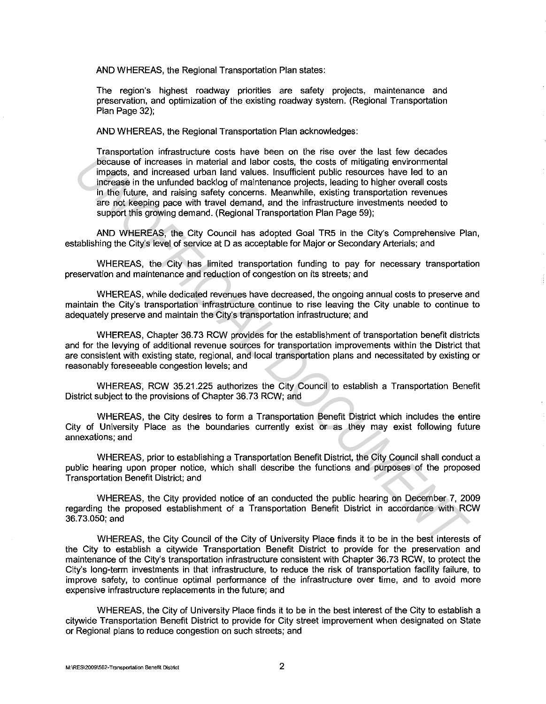AND WHEREAS, the Regional Transportation Plan states:

The region's highest roadway priorities are safety projects, maintenance and preservation, and optimization of the existing roadway system. (Regional Transportation Plan Page 32);

AND WHEREAS, the Regional Transportation Plan acknowledges:

Transportation infrastructure costs have been on the rise over the last few decades because of increases in material and labor costs, the costs of mitigating environmental impacts, and increased urban land values. Insufficient public resources have led to an increase in the unfunded backlog of maintenance projects, leading to higher overall costs in the future, and raising safety concerns. Meanwhile, existing transportation revenues are not keeping pace with travel demand, and the infrastructure investments needed to support this growing demand. (Regional Transportation Plan Page 59); Transportation measured whis the one of the new orientation tends of the control in the control in the control in the control in the control in the control in the control in the control in the control in the control in the

AND WHEREAS, the City Council has adopted Goal TR5 in the City's Comprehensive Plan, establishing the City's level of service at D as acceptable for Major or Secondary Arterials; and

WHEREAS, the City has limited transportation funding to pay for necessary transportation preservation and maintenance and reduction of congestion on its streets; and

WHEREAS, while dedicated revenues have decreased, the ongoing annual costs to preserve and maintain the City's transportation infrastructure continue to rise leaving the City unable to continue to adequately preserve and maintain the City's transportation infrastructure; and

WHEREAS, Chapter 36.73 RCW provides for the establishment of transportation benefit districts and for the levying of additional revenue sources for transportation improvements within the District that are consistent with existing state, regional, and local transportation plans and necessitated by existing or reasonably foreseeable congestion levels; and

WHEREAS, RCW 35.21.225 authorizes the City Council to establish a Transportation Benefit District subject to the provisions of Chapter 36. 73 RCW; and

WHEREAS, the City desires to form a Transportation Benefit District which includes the entire City of University Place as the boundaries currently exist or as they may exist following future annexations; and

WHEREAS, prior to establishing a Transportation Benefit District, the City Council shall conduct a public hearing upon proper notice, which shall describe the functions and purposes of the proposed Transportation Benefit District; and

WHEREAS, the City provided notice of an conducted the public hearing on December 7, 2009 regarding the proposed establishment of a Transportation Benefit District in accordance with RCW 36. 73.050; and

WHEREAS, the City Council of the City of University Place finds it to be in the best interests of the City to establish a citywide Transportation Benefit District to provide for the preservation and maintenance of the City's transportation infrastructure consistent with Chapter 36.73 RCW, to protect the City's long-term investments in that infrastructure, to reduce the risk of transportation facility failure, to improve safety, to continue optimal performance of the infrastructure over time, and to avoid more expensive infrastructure replacements in the future; and

WHEREAS, the City of University Place finds it to be in the best interest of the City to establish a citywide Transportation Benefit District to provide for City street improvement when designated on State or Regional plans to reduce congestion on such streets; and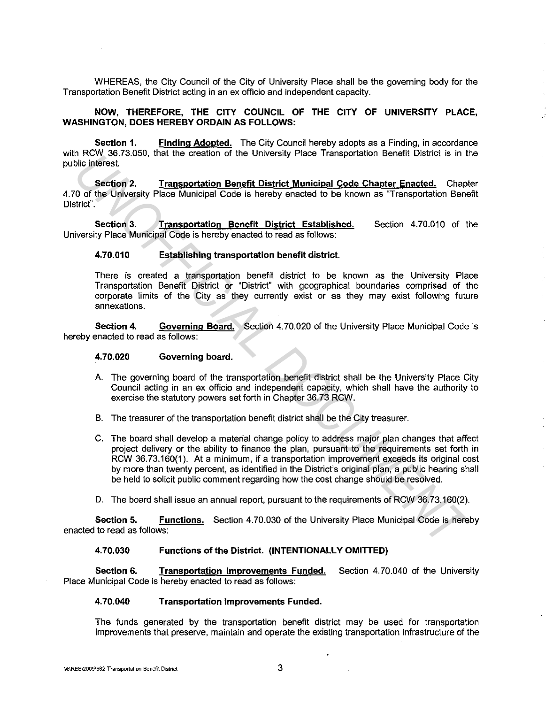WHEREAS, the City Council of the City of University Place shall be the governing body for the Transportation Benefit District acting in an ex officio and independent capacity.

## **NOW, THEREFORE, THE CITY COUNCIL OF THE CITY OF UNIVERSITY PLACE, WASHINGTON, DOES HEREBY ORDAIN AS FOLLOWS:**

**Section 1. Finding Adopted.** The City Council hereby adopts as a Finding, in accordance with RCW 36.73.050, that the creation of the University Place Transportation Benefit District is in the public interest.

**Section 2. Transportation Benefit District Municipal Code Chapter Enacted.** Chapter 4. 70 of the University Place Municipal Code is hereby enacted to be known as "Transportation Benefit District".

**Section 3. Transportation Benefit District Established.** Section 4.70.010 of the University Place Municipal Code is hereby enacted to read as follows:

## **4.70.010 Establishing transportation benefit district.**

There is created a transportation benefit district to be known as the University Place Transportation Benefit District or "District" with geographical boundaries comprised of the corporate limits of the City as they currently exist or as they may exist following future annexations.

**Section 4. Governing Board.** Section 4.70.020 of the University Place Municipal Code is hereby enacted to read as follows:

### **4.70.020 Governing board.**

- A. The governing board of the transportation benefit district shall be the University Place City Council acting in an ex officio and independent capacity, which shall have the authority to exercise the statutory powers set forth in Chapter 36.73 RCW.
- B. The treasurer of the transportation benefit district shall be the City treasurer.
- C. The board shall develop a material change policy to address major plan changes that affect project delivery or the ability to finance the plan, pursuant to the requirements set forth in RCW 36.73.160(1). At a minimum, if a transportation improvement exceeds its original cost by more than twenty percent, as identified in the District's original plan, a public hearing shall be held to solicit public comment regarding how the cost change should be resolved. **EXACT CANCE AND THE CONSULTER CONSULTER CONSULTER CONSULTER CONSULTER CONSULTER CONSULTER CONSULTER CONSULTER CONSULTER CONSULTER CONSULTER CONSULTER CONSULTER CONSULTER CONSULTER CONSULTER CONSULTER CONSULTER CONSULTER C** 
	- D. The board shall issue an annual report, pursuant to the requirements of RCW 36.73.160(2).

**Section 5. Functions.** Section 4.70.030 of the University Place Municipal Code is hereby enacted to read as follows:

# **4.70.030 Functions of the District. {INTENTIONALLY OMITTED)**

**Section 6.** Transportation Improvements Funded. Section 4.70.040 of the University Place Municipal Code is hereby enacted to read as follows:

### **4.70.040 Transportation Improvements Funded.**

The funds generated by the transportation benefit district may be used for transportation improvements that preserve, maintain and operate the existing transportation infrastructure of the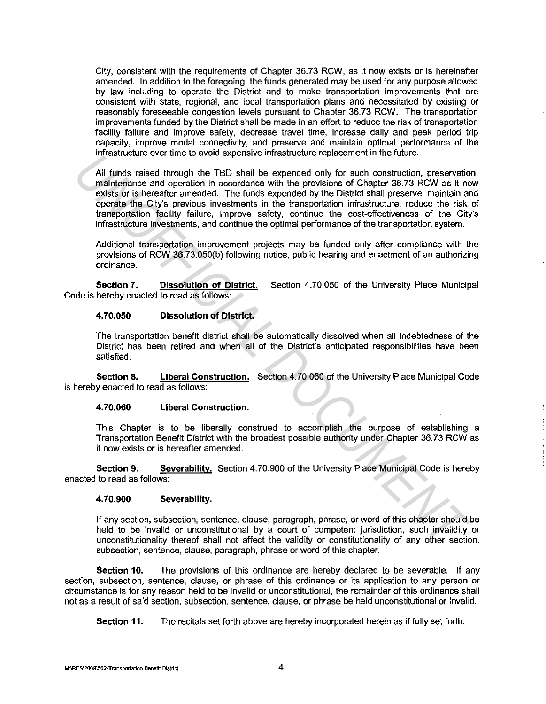City, consistent with the requirements of Chapter 36.73 RCW, as it now exists or is hereinafter amended. In addition to the foregoing, the funds generated may be used for any purpose allowed by law including to operate the District and to make transportation improvements that are consistent with state, regional, and local transportation plans and necessitated by existing or reasonably foreseeable congestion levels pursuant to Chapter 36. 73 RCW. The transportation improvements funded by the District shall be made in an effort to reduce the risk of transportation facility failure and improve safety, decrease travel time, increase daily and peak period trip capacity, improve modal connectivity, and preserve and maintain optimal performance of the infrastructure over time to avoid expensive infrastructure replacement in the future.

All funds raised through the TBD shall be expended only for such construction, preservation, maintenance and operation in accordance with the provisions of Chapter 36.73 RCW as it now exists or is hereafter amended. The funds expended by the District shall preserve, maintain and operate the City's previous investments in the transportation infrastructure, reduce the risk of transportation facility failure, improve safety, continue the cost-effectiveness of the City's infrastructure investments, and continue the optimal performance of the transportation system. Interasticulate over time to avoid experience intrassuctuate interaction. This change is the material of the properties of the properties of the properties of the properties of the properties of the foreset of the provides

Additional transportation improvement projects may be funded only after compliance with the provisions of RCW 36.73.050{b) following notice, public hearing and enactment of an authorizing ordinance.

**Section 7. Dissolution of District.** Section 4.70.050 of the University Place Municipal Code is hereby enacted to read as follows:

## **4.70.050 Dissolution of District.**

The transportation benefit district shall be automatically dissolved when all indebtedness of the District has been retired and when all of the District's anticipated responsibilities have been satisfied.

**Section 8. Liberal Construction.** Section 4. 70.060 of the University Place Municipal Code is hereby enacted to read as follows:

### **4.70.060 Liberal Construction.**

This Chapter is to be liberally construed to accomplish the purpose of establishing a Transportation Benefit District with the broadest possible authority under Chapter 36. 73 RCW as it now exists or is hereafter amended.

**Section 9. Severability.** Section 4.70.900 of the University Place Municipal Code is hereby enacted to read as follows:

### **4.70.900 Severability.**

If any section, subsection, sentence, clause, paragraph, phrase, or word of this chapter should be held to be invalid or unconstitutional by a court of competent jurisdiction, such invalidity or unconstitutionality thereof shall not affect the validity or constitutionality of any other section, subsection, sentence, clause, paragraph, phrase or word of this chapter.

**Section 10.** The provisions of this ordinance are hereby declared to be severable. If any section, subsection, sentence, clause, or phrase of this ordinance or its application to any person or circumstance is for any reason held to be invalid or unconstitutional, the remainder of this ordinance shall not as a result of said section, subsection, sentence, clause, or phrase be held unconstitutional or invalid.

**Section 11.** The recitals set forth above are hereby incorporated herein as if fully set forth.